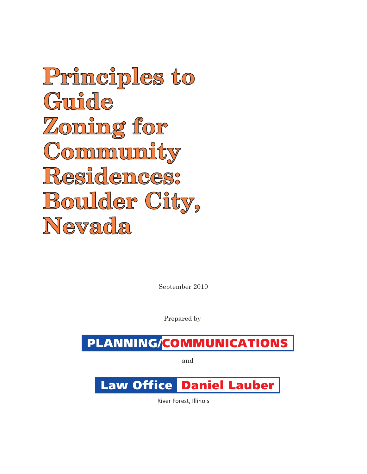**Principles to Guide Zoning for Community Residences: Boulder City, Nevada**

September 2010

Prepared by

# PLANNING/COMMUNICATIONS

and

# Law Office Daniel Lauber

River Forest, Illinois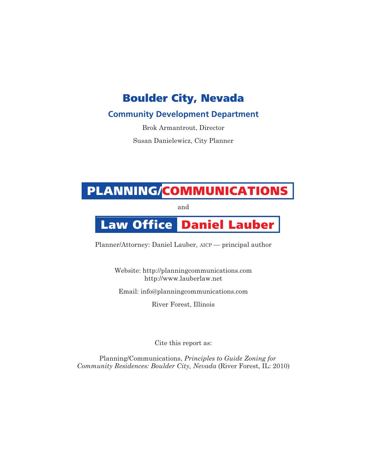### Boulder City, Nevada

### **Community Development Department**

Brok Armantrout, Director

Susan Danielewicz, City Planner

# PLANNING/COMMUNICATIONS

and

# Law Office Daniel Lauber

Planner/Attorney: Daniel Lauber, AICP — principal author

Website: http://planningcommunications.com http://www.lauberlaw.net Email: info@planningcommunications.com

River Forest, Illinois

Cite this report as:

Planning/Communications, *Principles to Guide Zoning for Community Residences: Boulder City, Nevada* (River Forest, IL: 2010)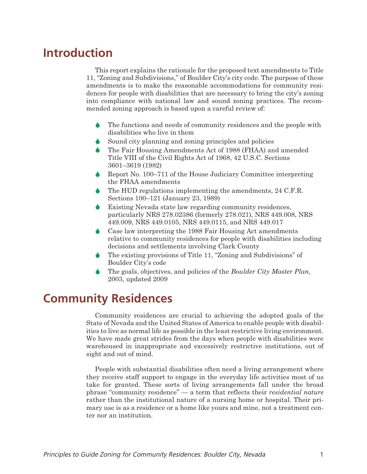## **Introduction**

This report explains the rationale for the proposed text amendments to Title 11, "Zoning and Subdivisions," of Boulder City's city code. The purpose of these amendments is to make the reasonable accommodations for community residences for people with disabilities that are necessary to bring the city's zoning into compliance with national law and sound zoning practices. The recommended zoning approach is based upon a careful review of:

- $\blacklozenge$  The functions and needs of community residences and the people with disabilities who live in them
- $\bullet$ Sound city planning and zoning principles and policies
- $\blacklozenge$  The Fair Housing Amendments Act of 1988 (FHAA) and amended Title VIII of the Civil Rights Act of 1968, 42 U.S.C. Sections 3601–3619 (1982)
- $\blacklozenge$  Report No. 100–711 of the House Judiciary Committee interpreting the FHAA amendments
- $\blacklozenge$  The HUD regulations implementing the amendments, 24 C.F.R. Sections 100–121 (January 23, 1989)
- $\blacklozenge$  Existing Nevada state law regarding community residences, particularly NRS 278.02386 (formerly 278.021), NRS 449.008, NRS 449.009, NRS 449.0105, NRS 449.0115, and NRS 449.017
- $\blacklozenge$  Case law interpreting the 1988 Fair Housing Act amendments relative to community residences for people with disabilities including decisions and settlements involving Clark County
- $\blacklozenge$  The existing provisions of Title 11, "Zoning and Subdivisions" of Boulder City's code
- $\blacklozenge$  The goals, objectives, and policies of the *Boulder City Master Plan,* 2003, updated 2009

## **Community Residences**

Community residences are crucial to achieving the adopted goals of the State of Nevada and the United States of America to enable people with disabilities to live as normal life as possible in the least restrictive living environment. We have made great strides from the days when people with disabilities were warehoused in inappropriate and excessively restrictive institutions, out of sight and out of mind.

People with substantial disabilities often need a living arrangement where they receive staff support to engage in the everyday life activities most of us take for granted. These sorts of living arrangements fall under the broad phrase "community residence" — a term that reflects their *residential nature* rather than the institutional nature of a nursing home or hospital. Their primary use is as a residence or a home like yours and mine, not a treatment center nor an institution.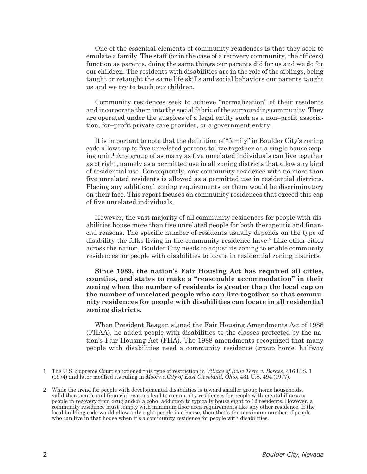One of the essential elements of community residences is that they seek to emulate a family. The staff (or in the case of a recovery community, the officers) function as parents, doing the same things our parents did for us and we do for our children. The residents with disabilities are in the role of the siblings, being taught or retaught the same life skills and social behaviors our parents taught us and we try to teach our children.

Community residences seek to achieve "normalization" of their residents and incorporate them into the social fabric of the surrounding community. They are operated under the auspices of a legal entity such as a non–profit association, for–profit private care provider, or a government entity.

It is important to note that the definition of "family" in Boulder City's zoning code allows up to five unrelated persons to live together as a single housekeeping unit.<sup>1</sup> Any group of as many as five unrelated individuals can live together as of right, namely as a permitted use in all zoning districts that allow any kind of residential use. Consequently, any community residence with no more than five unrelated residents is allowed as a permitted use in residential districts. Placing any additional zoning requirements on them would be discriminatory on their face. This report focuses on community residences that exceed this cap of five unrelated individuals.

However, the vast majority of all community residences for people with disabilities house more than five unrelated people for both therapeutic and financial reasons. The specific number of residents usually depends on the type of disability the folks living in the community residence have.2 Like other cities across the nation, Boulder City needs to adjust its zoning to enable community residences for people with disabilities to locate in residential zoning districts.

**Since 1989, the nation's Fair Housing Act has required all cities, counties, and states to make a "reasonable accommodation" in their zoning when the number of residents is greater than the local cap on the number of unrelated people who can live together so that community residences for people with disabilities can locate in all residential zoning districts.**

When President Reagan signed the Fair Housing Amendments Act of 1988 (FHAA), he added people with disabilities to the classes protected by the nation's Fair Housing Act (FHA). The 1988 amendments recognized that many people with disabilities need a community residence (group home, halfway

<sup>1</sup> The U.S. Supreme Court sanctioned this type of restriction in *Village of Belle Terre v. Borass,* 416 U.S. 1 (1974) and later modfied its ruling in *Moore v.City of East Cleveland, Ohio*, 431 U.S. 494 (1977).

<sup>2</sup> While the trend for people with developmental disabilities is toward smaller group home households, valid therapeutic and financial reasons lead to community residences for people with mental illness or people in recovery from drug and/or alcohol addiction to typically house eight to 12 residents. However, a community residence must comply with minimum floor area requirements like any other residence. If the local building code would allow only eight people in a house, then that's the maximum number of people who can live in that house when it's a community residence for people with disabilities.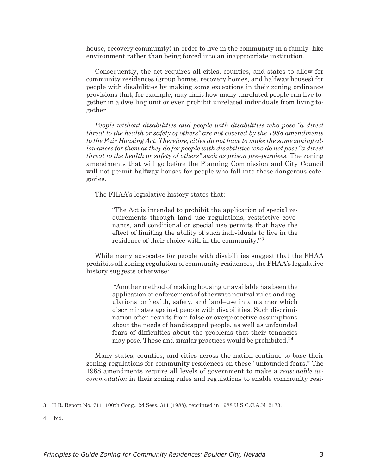house, recovery community) in order to live in the community in a family–like environment rather than being forced into an inappropriate institution.

Consequently, the act requires all cities, counties, and states to allow for community residences (group homes, recovery homes, and halfway houses) for people with disabilities by making some exceptions in their zoning ordinance provisions that, for example, may limit how many unrelated people can live together in a dwelling unit or even prohibit unrelated individuals from living together.

*People without disabilities and people with disabilities who pose "a direct threat to the health or safety of others" are not covered by the 1988 amendments to the Fair Housing Act. Therefore, cities do not have to make the same zoning allowances for them as they do for people with disabilities who do not pose "a direct threat to the health or safety of others" such as prison pre–parolees.* The zoning amendments that will go before the Planning Commission and City Council will not permit halfway houses for people who fall into these dangerous categories.

The FHAA's legislative history states that:

"The Act is intended to prohibit the application of special requirements through land–use regulations, restrictive covenants, and conditional or special use permits that have the effect of limiting the ability of such individuals to live in the residence of their choice with in the community."3

While many advocates for people with disabilities suggest that the FHAA prohibits all zoning regulation of community residences, the FHAA's legislative history suggests otherwise:

> "Another method of making housing unavailable has been the application or enforcement of otherwise neutral rules and regulations on health, safety, and land–use in a manner which discriminates against people with disabilities. Such discrimination often results from false or overprotective assumptions about the needs of handicapped people, as well as unfounded fears of difficulties about the problems that their tenancies may pose. These and similar practices would be prohibited."4

Many states, counties, and cities across the nation continue to base their zoning regulations for community residences on these "unfounded fears." The 1988 amendments require all levels of government to make a *reasonable accommodation* in their zoning rules and regulations to enable community resi-

4 Ibid.

<sup>3</sup> H.R. Report No. 711, 100th Cong., 2d Sess. 311 (1988), reprinted in 1988 U.S.C.C.A.N. 2173.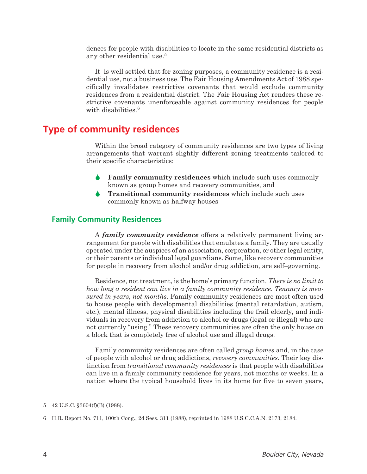dences for people with disabilities to locate in the same residential districts as any other residential use.<sup>5</sup>

It is well settled that for zoning purposes, a community residence is a residential use, not a business use. The Fair Housing Amendments Act of 1988 specifically invalidates restrictive covenants that would exclude community residences from a residential district. The Fair Housing Act renders these restrictive covenants unenforceable against community residences for people with disabilities.<sup>6</sup>

### **Type of community residences**

Within the broad category of community residences are two types of living arrangements that warrant slightly different zoning treatments tailored to their specific characteristics:

- $\blacklozenge$  **Family community residences** which include such uses commonly known as group homes and recovery communities, and
- $\blacklozenge$  **Transitional community residences** which include such uses commonly known as halfway houses

#### **Family Community Residences**

A *family community residence* offers a relatively permanent living arrangement for people with disabilities that emulates a family. They are usually operated under the auspices of an association, corporation, or other legal entity, or their parents or individual legal guardians. Some, like recovery communities for people in recovery from alcohol and/or drug addiction, are self–governing.

Residence, not treatment, is the home's primary function. *There is no limit to how long a resident can live in a family community residence. Tenancy is measured in years, not months.* Family community residences are most often used to house people with developmental disabilities (mental retardation, autism, etc.), mental illness, physical disabilities including the frail elderly, and individuals in recovery from addiction to alcohol or drugs (legal or illegal) who are not currently "using." These recovery communities are often the only house on a block that is completely free of alcohol use and illegal drugs.

Family community residences are often called *group homes* and, in the case of people with alcohol or drug addictions, *recovery communities*. Their key distinction from *transitional community residences* is that people with disabilities can live in a family community residence for years, not months or weeks. In a nation where the typical household lives in its home for five to seven years,

<sup>5 42</sup> U.S.C. §3604(f)(B) (1988).

<sup>6</sup> H.R. Report No. 711, 100th Cong., 2d Sess. 311 (1988), reprinted in 1988 U.S.C.C.A.N. 2173, 2184.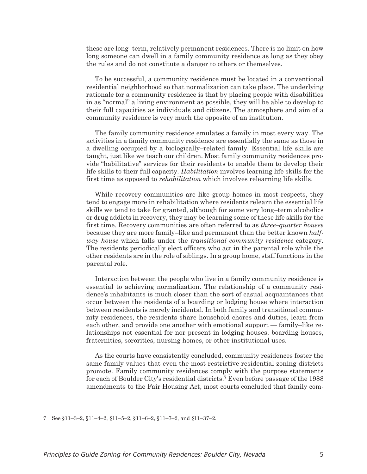these are long–term, relatively permanent residences. There is no limit on how long someone can dwell in a family community residence as long as they obey the rules and do not constitute a danger to others or themselves.

To be successful, a community residence must be located in a conventional residential neighborhood so that normalization can take place. The underlying rationale for a community residence is that by placing people with disabilities in as "normal" a living environment as possible, they will be able to develop to their full capacities as individuals and citizens. The atmosphere and aim of a community residence is very much the opposite of an institution.

The family community residence emulates a family in most every way. The activities in a family community residence are essentially the same as those in a dwelling occupied by a biologically–related family. Essential life skills are taught, just like we teach our children. Most family community residences provide "habilitative" services for their residents to enable them to develop their life skills to their full capacity. *Habilitation* involves learning life skills for the first time as opposed to *rehabilitation* which involves relearning life skills.

While recovery communities are like group homes in most respects, they tend to engage more in rehabilitation where residents relearn the essential life skills we tend to take for granted, although for some very long–term alcoholics or drug addicts in recovery, they may be learning some of these life skills for the first time. Recovery communities are often referred to as *three–quarter houses* because they are more family–like and permanent than the better known *halfway house* which falls under the *transitional community residence* category. The residents periodically elect officers who act in the parental role while the other residents are in the role of siblings. In a group home, staff functions in the parental role.

Interaction between the people who live in a family community residence is essential to achieving normalization. The relationship of a community residence's inhabitants is much closer than the sort of casual acquaintances that occur between the residents of a boarding or lodging house where interaction between residents is merely incidental. In both family and transitional community residences, the residents share household chores and duties, learn from each other, and provide one another with emotional support — family–like relationships not essential for nor present in lodging houses, boarding houses, fraternities, sororities, nursing homes, or other institutional uses.

As the courts have consistently concluded, community residences foster the same family values that even the most restrictive residential zoning districts promote. Family community residences comply with the purpose statements for each of Boulder City's residential districts.7 Even before passage of the 1988 amendments to the Fair Housing Act, most courts concluded that family com-

<sup>7</sup> See §11–3–2, §11–4–2, §11–5–2, §11–6–2, §11–7–2, and §11–37–2.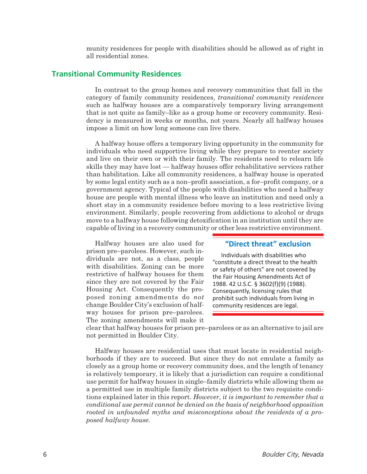munity residences for people with disabilities should be allowed as of right in all residential zones.

#### **Transitional Community Residences**

In contrast to the group homes and recovery communities that fall in the category of family community residences, *transitional community residences* such as halfway houses are a comparatively temporary living arrangement that is not quite as family–like as a group home or recovery community. Residency is measured in weeks or months, not years. Nearly all halfway houses impose a limit on how long someone can live there.

A halfway house offers a temporary living opportunity in the community for individuals who need supportive living while they prepare to reenter society and live on their own or with their family. The residents need to relearn life skills they may have lost — halfway houses offer rehabilitative services rather than habilitation. Like all community residences, a halfway house is operated by some legal entity such as a non–profit association, a for–profit company, or a government agency. Typical of the people with disabilities who need a halfway house are people with mental illness who leave an institution and need only a short stay in a community residence before moving to a less restrictive living environment. Similarly, people recovering from addictions to alcohol or drugs move to a halfway house following detoxification in an institution until they are capable of living in a recovery community or other less restrictive environment.

Halfway houses are also used for prison pre–parolees. However, such individuals are not, as a class, people with disabilities. Zoning can be more restrictive of halfway houses for them since they are not covered by the Fair Housing Act. Consequently the proposed zoning amendments do *not* change Boulder City's exclusion of halfway houses for prison pre–parolees. The zoning amendments will make it

#### **"Direct threat" exclusion**

Individuals with disabilities who "constitute a direct threat to the health or safety of others" are not covered by the Fair Housing Amendments Act of 1988. 42 U.S.C. § 3602(f)(9) (1988). Consequently, licensing rules that prohibit such individuals from living in community residences are legal.

clear that halfway houses for prison pre–parolees or as an alternative to jail are not permitted in Boulder City.

Halfway houses are residential uses that must locate in residential neighborhoods if they are to succeed. But since they do not emulate a family as closely as a group home or recovery community does, and the length of tenancy is relatively temporary, it is likely that a jurisdiction can require a conditional use permit for halfway houses in single–family districts while allowing them as a permitted use in multiple family districts subject to the two requisite conditions explained later in this report. *However, it is important to remember that a conditional use permit cannot be denied on the basis of neighborhood opposition rooted in unfounded myths and misconceptions about the residents of a proposed halfway house.*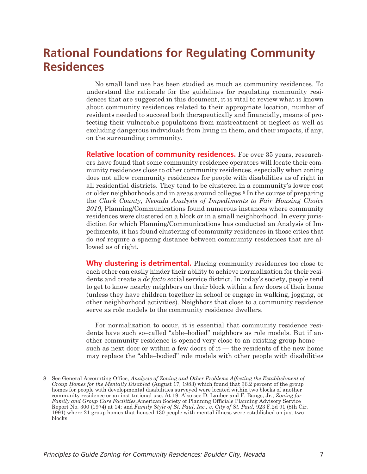## **Rational Foundations for Regulating Community Residences**

No small land use has been studied as much as community residences. To understand the rationale for the guidelines for regulating community residences that are suggested in this document, it is vital to review what is known about community residences related to their appropriate location, number of residents needed to succeed both therapeutically and financially, means of protecting their vulnerable populations from mistreatment or neglect as well as excluding dangerous individuals from living in them, and their impacts, if any, on the surrounding community.

**Relative location of community residences.** For over 35 years, researchers have found that some community residence operators will locate their community residences close to other community residences, especially when zoning does not allow community residences for people with disabilities as of right in all residential districts. They tend to be clustered in a community's lower cost or older neighborhoods and in areas around colleges.8 In the course of preparing the *Clark County, Nevada Analysis of Impediments to Fair Housing Choice 2010,* Planning/Communications found numerous instances where community residences were clustered on a block or in a small neighborhood. In every jurisdiction for which Planning/Communications has conducted an Analysis of Impediments, it has found clustering of community residences in those cities that do *not* require a spacing distance between community residences that are allowed as of right.

**Why clustering is detrimental.** Placing community residences too close to each other can easily hinder their ability to achieve normalization for their residents and create a *de facto* social service district. In today's society, people tend to get to know nearby neighbors on their block within a few doors of their home (unless they have children together in school or engage in walking, jogging, or other neighborhood activities). Neighbors that close to a community residence serve as role models to the community residence dwellers.

For normalization to occur, it is essential that community residence residents have such so–called "able–bodied" neighbors as role models. But if another community residence is opened very close to an existing group home such as next door or within a few doors of it — the residents of the new home may replace the "able–bodied" role models with other people with disabilities

<sup>8</sup> See General Accounting Office, *Analysis of Zoning and Other Problems Affecting the Establishment of Group Homes for the Mentally Disabled* (August 17, 1983) which found that 36.2 percent of the group homes for people with developmental disabilities surveyed were located within two blocks of another community residence or an institutional use. At 19. Also see D. Lauber and F. Bangs, Jr., *Zoning for Family and Group Care Facilities,*American Society of Planning Officials Planning Advisory Service Report No. 300 (1974) at 14; and *Family Style of St. Paul, Inc., v. City of St. Paul,* 923 F.2d 91 (8th Cir. 1991) where 21 group homes that housed 130 people with mental illness were established on just two blocks.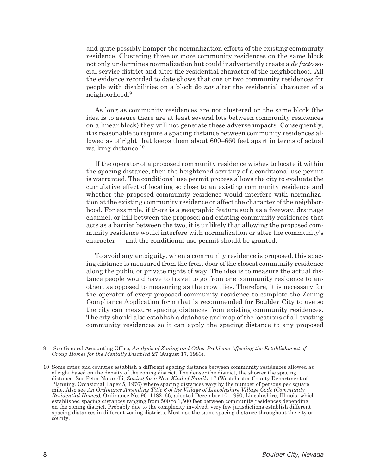and quite possibly hamper the normalization efforts of the existing community residence. Clustering three or more community residences on the same block not only undermines normalization but could inadvertently create a *de facto* social service district and alter the residential character of the neighborhood. All the evidence recorded to date shows that one or two community residences for people with disabilities on a block do *not* alter the residential character of a neighborhood.9

As long as community residences are not clustered on the same block (the idea is to assure there are at least several lots between community residences on a linear block) they will not generate these adverse impacts. Consequently, it is reasonable to require a spacing distance between community residences allowed as of right that keeps them about 600–660 feet apart in terms of actual walking distance.<sup>10</sup>

If the operator of a proposed community residence wishes to locate it within the spacing distance, then the heightened scrutiny of a conditional use permit is warranted. The conditional use permit process allows the city to evaluate the cumulative effect of locating so close to an existing community residence and whether the proposed community residence would interfere with normalization at the existing community residence or affect the character of the neighborhood. For example, if there is a geographic feature such as a freeway, drainage channel, or hill between the proposed and existing community residences that acts as a barrier between the two, it is unlikely that allowing the proposed community residence would interfere with normalization or alter the community's character — and the conditional use permit should be granted.

To avoid any ambiguity, when a community residence is proposed, this spacing distance is measured from the front door of the closest community residence along the public or private rights of way. The idea is to measure the actual distance people would have to travel to go from one community residence to another, as opposed to measuring as the crow flies. Therefore, it is necessary for the operator of every proposed community residence to complete the Zoning Compliance Application form that is recommended for Boulder City to use so the city can measure spacing distances from existing community residences. The city should also establish a database and map of the locations of all existing community residences so it can apply the spacing distance to any proposed

<sup>9</sup> See General Accounting Office, *Analysis of Zoning and Other Problems Affecting the Establishment of Group Homes for the Mentally Disabled* 27 (August 17, 1983).

<sup>10</sup> Some cities and counties establish a different spacing distance between community residences allowed as of right based on the density of the zoning district. The denser the district, the shorter the spacing distance. See Peter Natarelli, *Zoning for a New Kind of Family* 17 (Westchester County Department of Planning, Occasional Paper 5, 1976) where spacing distances vary by the number of persons per square mile. Also see *An Ordinance Amending Title 6 of the Village of Lincolnshire Village Code (Community Residential Homes),* Ordinance No. 90–1182–66, adopted December 10, 1990, Lincolnshire, Illinois, which established spacing distances ranging from 500 to 1,500 feet between community residences depending on the zoning district. Probably due to the complexity involved, very few jurisdictions establish different spacing distances in different zoning districts. Most use the same spacing distance throughout the city or county.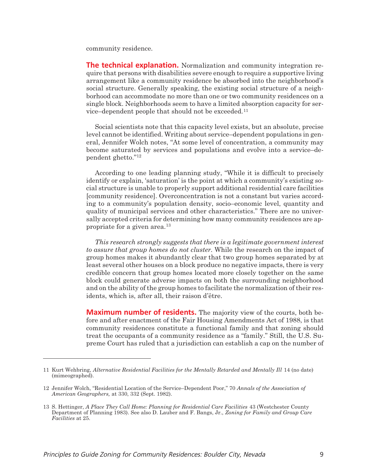community residence.

**The technical explanation.** Normalization and community integration require that persons with disabilities severe enough to require a supportive living arrangement like a community residence be absorbed into the neighborhood's social structure. Generally speaking, the existing social structure of a neighborhood can accommodate no more than one or two community residences on a single block. Neighborhoods seem to have a limited absorption capacity for service–dependent people that should not be exceeded.11

Social scientists note that this capacity level exists, but an absolute, precise level cannot be identified. Writing about service–dependent populations in general, Jennifer Wolch notes, "At some level of concentration, a community may become saturated by services and populations and evolve into a service–dependent ghetto."12

According to one leading planning study, "While it is difficult to precisely identify or explain, 'saturation' is the point at which a community's existing social structure is unable to properly support additional residential care facilities [community residence]. Overconcentration is not a constant but varies according to a community's population density, socio–economic level, quantity and quality of municipal services and other characteristics." There are no universally accepted criteria for determining how many community residences are appropriate for a given area.13

*This research strongly suggests that there is a legitimate government interest to assure that group homes do not cluster.* While the research on the impact of group homes makes it abundantly clear that two group homes separated by at least several other houses on a block produce no negative impacts, there is very credible concern that group homes located more closely together on the same block could generate adverse impacts on both the surrounding neighborhood and on the ability of the group homes to facilitate the normalization of their residents, which is, after all, their raison d'être.

**Maximum number of residents.** The majority view of the courts, both before and after enactment of the Fair Housing Amendments Act of 1988, is that community residences constitute a functional family and that zoning should treat the occupants of a community residence as a "family." Still, the U.S. Supreme Court has ruled that a jurisdiction can establish a cap on the number of

<sup>11</sup> Kurt Wehbring, *Alternative Residential Facilities for the Mentally Retarded and Mentally Ill* 14 (no date) (mimeographed).

<sup>12</sup> Jennifer Wolch, "Residential Location of the Service–Dependent Poor," 70 *Annals of the Association of American Geographers,* at 330, 332 (Sept. 1982).

<sup>13</sup> S. Hettinger, *A Place They Call Home: Planning for Residential Care Facilities* 43 (Westchester County Department of Planning 1983). See also D. Lauber and F. Bangs, Jr., *Zoning for Family and Group Care Facilities* at 25.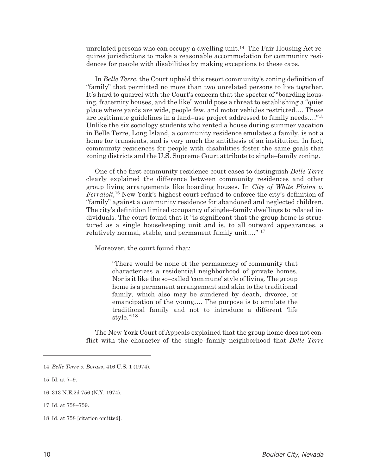unrelated persons who can occupy a dwelling unit.14 The Fair Housing Act requires jurisdictions to make a reasonable accommodation for community residences for people with disabilities by making exceptions to these caps.

In *Belle Terre*, the Court upheld this resort community's zoning definition of "family" that permitted no more than two unrelated persons to live together. It's hard to quarrel with the Court's concern that the specter of "boarding housing, fraternity houses, and the like" would pose a threat to establishing a "quiet place where yards are wide, people few, and motor vehicles restricted.… These are legitimate guidelines in a land–use project addressed to family needs.…"15 Unlike the six sociology students who rented a house during summer vacation in Belle Terre, Long Island, a community residence emulates a family, is not a home for transients, and is very much the antithesis of an institution. In fact, community residences for people with disabilities foster the same goals that zoning districts and the U.S. Supreme Court attribute to single–family zoning.

One of the first community residence court cases to distinguish *Belle Terre* clearly explained the difference between community residences and other group living arrangements like boarding houses. In *City of White Plains v. Ferraioli,*<sup>16</sup> New York's highest court refused to enforce the city's definition of "family" against a community residence for abandoned and neglected children. The city's definition limited occupancy of single–family dwellings to related individuals. The court found that it "is significant that the group home is structured as a single housekeeping unit and is, to all outward appearances, a relatively normal, stable, and permanent family unit.…" <sup>17</sup>

Moreover, the court found that:

"There would be none of the permanency of community that characterizes a residential neighborhood of private homes. Nor is it like the so–called 'commune' style of living. The group home is a permanent arrangement and akin to the traditional family, which also may be sundered by death, divorce, or emancipation of the young…. The purpose is to emulate the traditional family and not to introduce a different 'life style."<sup>18</sup>

The New York Court of Appeals explained that the group home does not conflict with the character of the single–family neighborhood that *Belle Terre*

<sup>14</sup> *Belle Terre v. Borass*, 416 U.S. 1 (1974).

<sup>15</sup> Id. at 7–9.

<sup>16 313</sup> N.E.2d 756 (N.Y. 1974).

<sup>17</sup> Id. at 758–759.

<sup>18</sup> Id. at 758 [citation omitted].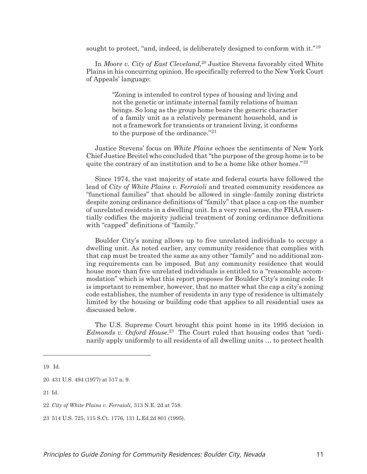sought to protect, "and, indeed, is deliberately designed to conform with it."<sup>19</sup>

In *Moore v. City of East Cleveland,*<sup>20</sup> Justice Stevens favorably cited White Plains in his concurring opinion. He specifically referred to the New York Court of Appeals' language:

> "Zoning is intended to control types of housing and living and not the genetic or intimate internal family relations of human beings. So long as the group home bears the generic character of a family unit as a relatively permanent household, and is not a framework for transients or transient living, it conforms to the purpose of the ordinance."21

Justice Stevens' focus on *White Plains* echoes the sentiments of New York Chief Justice Breitel who concluded that "the purpose of the group home is to be quite the contrary of an institution and to be a home like other homes."<sup>22</sup>

Since 1974, the vast majority of state and federal courts have followed the lead of *City of White Plains v. Ferraioli* and treated community residences as "functional families" that should be allowed in single–family zoning districts despite zoning ordinance definitions of "family" that place a cap on the number of unrelated residents in a dwelling unit. In a very real sense, the FHAA essentially codifies the majority judicial treatment of zoning ordinance definitions with "capped" definitions of "family."

Boulder City's zoning allows up to five unrelated individuals to occupy a dwelling unit. As noted earlier, any community residence that complies with that cap must be treated the same as any other "family" and no additional zoning requirements can be imposed. But any community residence that would house more than five unrelated individuals is entitled to a "reasonable accommodation" which is what this report proposes for Boulder City's zoning code. It is important to remember, however, that no matter what the cap a city's zoning code establishes, the number of residents in any type of residence is ultimately limited by the housing or building code that applies to all residential uses as discussed below.

The U.S. Supreme Court brought this point home in its 1995 decision in *Edmonds v. Oxford House.*<sup>23</sup> The Court ruled that housing codes that "ordinarily apply uniformly to all residents of all dwelling units … to protect health

19 Id.

21 Id.

<sup>20 431</sup> U.S. 494 (1977) at 517 n. 9.

<sup>22</sup> *City of White Plains v. Ferraioli,* 313 N.E. 2d at 758.

<sup>23 514</sup> U.S. 725, 115 S.Ct. 1776, 131 L.Ed.2d 801 (1995).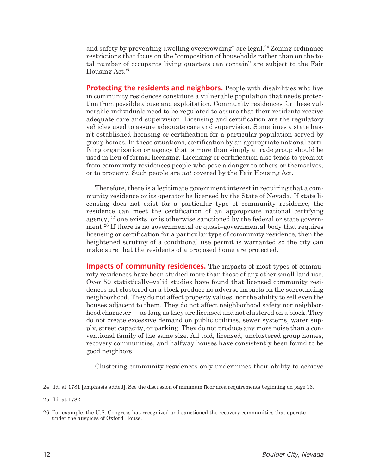and safety by preventing dwelling overcrowding" are legal.24 Zoning ordinance restrictions that focus on the "composition of households rather than on the total number of occupants living quarters can contain" are subject to the Fair Housing Act.25

**Protecting the residents and neighbors.** People with disabilities who live in community residences constitute a vulnerable population that needs protection from possible abuse and exploitation. Community residences for these vulnerable individuals need to be regulated to assure that their residents receive adequate care and supervision. Licensing and certification are the regulatory vehicles used to assure adequate care and supervision. Sometimes a state hasn't established licensing or certification for a particular population served by group homes. In these situations, certification by an appropriate national certifying organization or agency that is more than simply a trade group should be used in lieu of formal licensing. Licensing or certification also tends to prohibit from community residences people who pose a danger to others or themselves, or to property. Such people are *not* covered by the Fair Housing Act.

Therefore, there is a legitimate government interest in requiring that a community residence or its operator be licensed by the State of Nevada. If state licensing does not exist for a particular type of community residence, the residence can meet the certification of an appropriate national certifying agency, if one exists, or is otherwise sanctioned by the federal or state government.26 If there is no governmental or quasi–governmental body that requires licensing or certification for a particular type of community residence, then the heightened scrutiny of a conditional use permit is warranted so the city can make sure that the residents of a proposed home are protected.

**Impacts of community residences.** The impacts of most types of community residences have been studied more than those of any other small land use. Over 50 statistically–valid studies have found that licensed community residences not clustered on a block produce no adverse impacts on the surrounding neighborhood. They do not affect property values, nor the ability to sell even the houses adjacent to them. They do not affect neighborhood safety nor neighborhood character — as long as they are licensed and not clustered on a block. They do not create excessive demand on public utilities, sewer systems, water supply, street capacity, or parking. They do not produce any more noise than a conventional family of the same size. All told, licensed, unclustered group homes, recovery communities, and halfway houses have consistently been found to be good neighbors.

Clustering community residences only undermines their ability to achieve

<sup>24</sup> Id. at 1781 [emphasis added]. See the discussion of minimum floor area requirements beginning on page 16.

<sup>25</sup> Id. at 1782.

<sup>26</sup> For example, the U.S. Congress has recognized and sanctioned the recovery communities that operate under the auspices of Oxford House.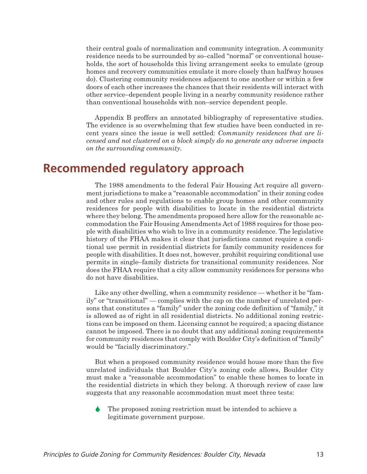their central goals of normalization and community integration. A community residence needs to be surrounded by so–called "normal" or conventional households, the sort of households this living arrangement seeks to emulate (group homes and recovery communities emulate it more closely than halfway houses do). Clustering community residences adjacent to one another or within a few doors of each other increases the chances that their residents will interact with other service–dependent people living in a nearby community residence rather than conventional households with non–service dependent people.

Appendix B proffers an annotated bibliography of representative studies. The evidence is so overwhelming that few studies have been conducted in recent years since the issue is well settled: *Community residences that are licensed and not clustered on a block simply do no generate any adverse impacts on the surrounding community.*

### **Recommended regulatory approach**

The 1988 amendments to the federal Fair Housing Act require all government jurisdictions to make a "reasonable accommodation" in their zoning codes and other rules and regulations to enable group homes and other community residences for people with disabilities to locate in the residential districts where they belong. The amendments proposed here allow for the reasonable accommodation the Fair Housing Amendments Act of 1988 requires for those people with disabilities who wish to live in a community residence. The legislative history of the FHAA makes it clear that jurisdictions cannot require a conditional use permit in residential districts for family community residences for people with disabilities. It does not, however, prohibit requiring conditional use permits in single–family districts for transitional community residences. Nor does the FHAA require that a city allow community residences for persons who do not have disabilities.

Like any other dwelling, when a community residence — whether it be "family" or "transitional" — complies with the cap on the number of unrelated persons that constitutes a "family" under the zoning code definition of "family," it is allowed as of right in all residential districts. No additional zoning restrictions can be imposed on them. Licensing cannot be required; a spacing distance cannot be imposed. There is no doubt that any additional zoning requirements for community residences that comply with Boulder City's definition of "family" would be "facially discriminatory."

But when a proposed community residence would house more than the five unrelated individuals that Boulder City's zoning code allows, Boulder City must make a "reasonable accommodation" to enable these homes to locate in the residential districts in which they belong. A thorough review of case law suggests that any reasonable accommodation must meet three tests:

 $\blacklozenge$  The proposed zoning restriction must be intended to achieve a legitimate government purpose.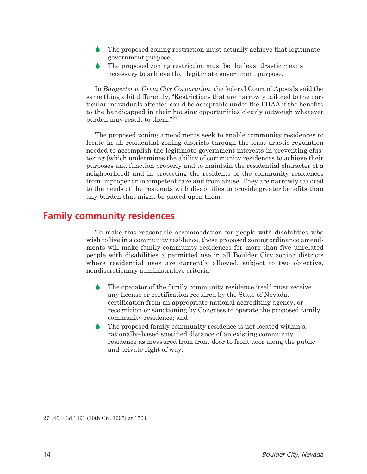- $\blacklozenge$  The proposed zoning restriction must actually achieve that legitimate government purpose.
- $\blacklozenge$  The proposed zoning restriction must be the least drastic means necessary to achieve that legitimate government purpose.

In *Bangerter v. Orem City Corporation,* the federal Court of Appeals said the same thing a bit differently, "Restrictions that are narrowly tailored to the particular individuals affected could be acceptable under the FHAA if the benefits to the handicapped in their housing opportunities clearly outweigh whatever burden may result to them."27

The proposed zoning amendments seek to enable community residences to locate in all residential zoning districts through the least drastic regulation needed to accomplish the legitimate government interests in preventing clustering (which undermines the ability of community residences to achieve their purposes and function properly and to maintain the residential character of a neighborhood) and in protecting the residents of the community residences from improper or incompetent care and from abuse. They are narrowly tailored to the needs of the residents with disabilities to provide greater benefits than any burden that might be placed upon them.

### **Family community residences**

To make this reasonable accommodation for people with disabilities who wish to live in a community residence, these proposed zoning ordinance amendments will make family community residences for more than five unrelated people with disabilities a permitted use in all Boulder City zoning districts where residential uses are currently allowed, subject to two objective, nondiscretionary administrative criteria:

- $\blacklozenge$  The operator of the family community residence itself must receive any license or certification required by the State of Nevada, certification from an appropriate national accrediting agency, or recognition or sanctioning by Congress to operate the proposed family community residence; and
- $\blacklozenge$  The proposed family community residence is not located within a rationally–based specified distance of an existing community residence as measured from front door to front door along the public and private right of way.

<sup>27 46</sup> F.3d 1491 (10th Cir. 1995) at 1504.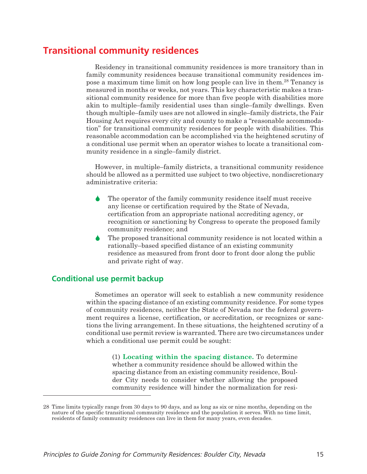### **Transitional community residences**

Residency in transitional community residences is more transitory than in family community residences because transitional community residences impose a maximum time limit on how long people can live in them.28 Tenancy is measured in months or weeks, not years. This key characteristic makes a transitional community residence for more than five people with disabilities more akin to multiple–family residential uses than single–family dwellings. Even though multiple–family uses are not allowed in single–family districts, the Fair Housing Act requires every city and county to make a "reasonable accommodation" for transitional community residences for people with disabilities. This reasonable accommodation can be accomplished via the heightened scrutiny of a conditional use permit when an operator wishes to locate a transitional community residence in a single–family district.

However, in multiple–family districts, a transitional community residence should be allowed as a permitted use subject to two objective, nondiscretionary administrative criteria:

- $\blacklozenge$  The operator of the family community residence itself must receive any license or certification required by the State of Nevada, certification from an appropriate national accrediting agency, or recognition or sanctioning by Congress to operate the proposed family community residence; and
- $\blacklozenge$  The proposed transitional community residence is not located within a rationally–based specified distance of an existing community residence as measured from front door to front door along the public and private right of way.

#### **Conditional use permit backup**

Sometimes an operator will seek to establish a new community residence within the spacing distance of an existing community residence. For some types of community residences, neither the State of Nevada nor the federal government requires a license, certification, or accreditation, or recognizes or sanctions the living arrangement. In these situations, the heightened scrutiny of a conditional use permit review is warranted. There are two circumstances under which a conditional use permit could be sought:

> (1) **Locating within the spacing distance.** To determine whether a community residence should be allowed within the spacing distance from an existing community residence, Boulder City needs to consider whether allowing the proposed community residence will hinder the normalization for resi-

<sup>28</sup> Time limits typically range from 30 days to 90 days, and as long as six or nine months, depending on the nature of the specific transitional community residence and the population it serves. With no time limit, residents of family community residences can live in them for many years, even decades.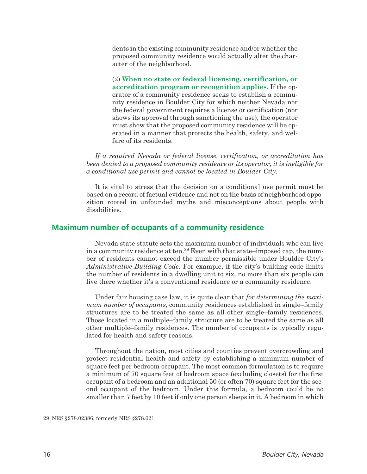dents in the existing community residence and/or whether the proposed community residence would actually alter the character of the neighborhood.

(2) **When no state or federal licensing, certification, or accreditation program or recognition applies.** If the operator of a community residence seeks to establish a community residence in Boulder City for which neither Nevada nor the federal government requires a license or certification (nor shows its approval through sanctioning the use), the operator must show that the proposed community residence will be operated in a manner that protects the health, safety, and welfare of its residents.

*If a required Nevada or federal license, certification, or accreditation has been denied to a proposed community residence or its operator, it is ineligible for a conditional use permit and cannot be located in Boulder City.*

It is vital to stress that the decision on a conditional use permit must be based on a record of factual evidence and not on the basis of neighborhood opposition rooted in unfounded myths and misconceptions about people with disabilities.

#### **Maximum number of occupants of a community residence**

Nevada state statute sets the maximum number of individuals who can live in a community residence at ten.<sup>29</sup> Even with that state–imposed cap, the number of residents cannot exceed the number permissible under Boulder City's *Administrative Building Code.* For example, if the city's building code limits the number of residents in a dwelling unit to six, no more than six people can live there whether it's a conventional residence or a community residence.

Under fair housing case law, it is quite clear that *for determining the maximum number of occupants,* community residences established in single–family structures are to be treated the same as all other single–family residences. Those located in a multiple–family structure are to be treated the same as all other multiple–family residences. The number of occupants is typically regulated for health and safety reasons.

Throughout the nation, most cities and counties prevent overcrowding and protect residential health and safety by establishing a minimum number of square feet per bedroom occupant. The most common formulation is to require a minimum of 70 square feet of bedroom space (excluding closets) for the first occupant of a bedroom and an additional 50 (or often 70) square feet for the second occupant of the bedroom. Under this formula, a bedroom could be no smaller than 7 feet by 10 feet if only one person sleeps in it. A bedroom in which

<sup>29</sup> NRS §278.02386, formerly NRS §278.021.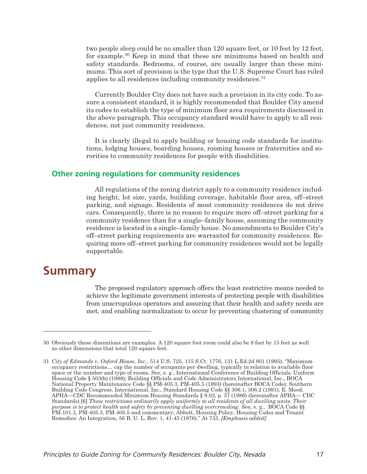two people sleep could be no smaller than 120 square feet, or 10 feet by 12 feet, for example.30 Keep in mind that these are minimums based on health and safety standards. Bedrooms, of course, are usually larger than these minimums. This sort of provision is the type that the U.S. Supreme Court has ruled applies to all residences including community residences.<sup>31</sup>

Currently Boulder City does not have such a provision in its city code. To assure a consistent standard, it is highly recommended that Boulder City amend its codes to establish the type of minimum floor area requirements discussed in the above paragraph. This occupancy standard would have to apply to all residences, not just community residences.

It is clearly illegal to apply building or housing code standards for institutions, lodging houses, boarding houses, rooming houses or fraternities and sororities to community residences for people with disabilities.

#### **Other zoning regulations for community residences**

All regulations of the zoning district apply to a community residence including height, lot size, yards, building coverage, habitable floor area, off–street parking, and signage. Residents of most community residences do not drive cars. Consequently, there is no reason to require more off–street parking for a community residence than for a single–family house, assuming the community residence is located in a single–family house. No amendments to Boulder City's off–street parking requirements are warranted for community residences. Requiring more off–street parking for community residences would not be legally supportable.

### **Summary**

The proposed regulatory approach offers the least restrictive means needed to achieve the legitimate government interests of protecting people with disabilities from unscrupulous operators and assuring that their health and safety needs are met, and enabling normalization to occur by preventing clustering of community

<sup>30</sup> Obviously these dimentions are examples. A 120 square foot room could also be 8 feet by 15 feet as well as other dimensions that total 120 square feet.

<sup>31</sup> *City of Edmonds v. Oxford House, Inc.,* 514 U.S. 725, 115 S.Ct. 1776, 131 L.Ed.2d 801 (1995). "Maximum occupancy restrictions… cap the number of occupants per dwelling, typically in relation to available floor space or the number and type of rooms. See, e. g., International Conference of Building Officials, Uniform Housing Code § 503(b) (1988); Building Officials and Code Administrators International, Inc., BOCA National Property Maintenance Code §§ PM-405.3, PM-405.5 (1993) (hereinafter BOCA Code); Southern Building Code Congress, International, Inc., Standard Housing Code §§ 306.1, 306.2 (1991); E. Mood, APHA—CDC Recommended Minimum Housing Standards § 9.02, p. 37 (1986) (hereinafter APHA— CDC Standards).[6] *These restrictions ordinarily apply uniformly to all residents of all dwelling units. Their purpose is to protect health and safety by preventing dwelling overcrowding.* See, e. g., BOCA Code §§ PM-101.3, PM-405.3, PM-405.5 and commentary; Abbott, Housing Policy, Housing Codes and Tenant Remedies: An Integration, 56 B. U. L. Rev. 1, 41-45 (1976)." At 733. *[Emphasis added]*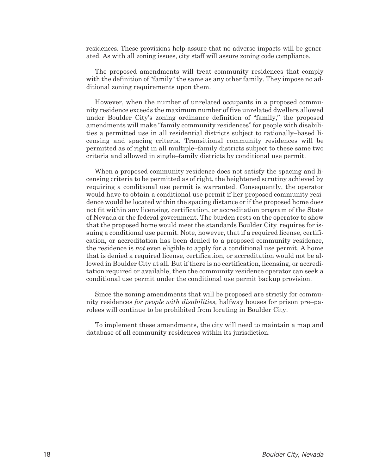residences. These provisions help assure that no adverse impacts will be generated. As with all zoning issues, city staff will assure zoning code compliance.

The proposed amendments will treat community residences that comply with the definition of "family" the same as any other family. They impose no additional zoning requirements upon them.

However, when the number of unrelated occupants in a proposed community residence exceeds the maximum number of five unrelated dwellers allowed under Boulder City's zoning ordinance definition of "family," the proposed amendments will make "family community residences" for people with disabilities a permitted use in all residential districts subject to rationally–based licensing and spacing criteria. Transitional community residences will be permitted as of right in all multiple–family districts subject to these same two criteria and allowed in single–family districts by conditional use permit.

When a proposed community residence does not satisfy the spacing and licensing criteria to be permitted as of right, the heightened scrutiny achieved by requiring a conditional use permit is warranted. Consequently, the operator would have to obtain a conditional use permit if her proposed community residence would be located within the spacing distance or if the proposed home does not fit within any licensing, certification, or accreditation program of the State of Nevada or the federal government. The burden rests on the operator to show that the proposed home would meet the standards Boulder City requires for issuing a conditional use permit. Note, however, that if a required license, certification, or accreditation has been denied to a proposed community residence, the residence is *not* even eligible to apply for a conditional use permit. A home that is denied a required license, certification, or accreditation would not be allowed in Boulder City at all. But if there is no certification, licensing, or accreditation required or available, then the community residence operator can seek a conditional use permit under the conditional use permit backup provision.

Since the zoning amendments that will be proposed are strictly for community residences *for people with disabilities,* halfway houses for prison pre–parolees will continue to be prohibited from locating in Boulder City.

To implement these amendments, the city will need to maintain a map and database of all community residences within its jurisdiction.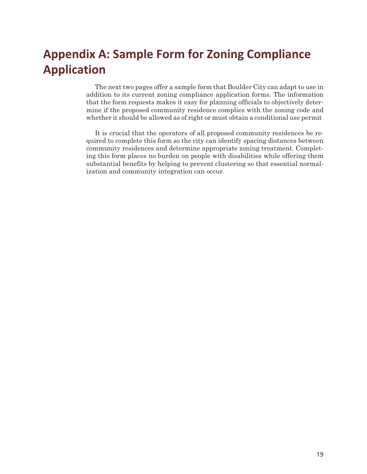## **Appendix A: Sample Form for Zoning Compliance Application**

The next two pages offer a sample form that Boulder City can adapt to use in addition to its current zoning compliance application forms. The information that the form requests makes it easy for planning officials to objectively determine if the proposed community residence complies with the zoning code and whether it should be allowed as of right or must obtain a conditional use permit

It is crucial that the operators of all proposed community residences be required to complete this form so the city can identify spacing distances between community residences and determine appropriate zoning treatment. Completing this form places no burden on people with disabilities while offering them substantial benefits by helping to prevent clustering so that essential normalization and community integration can occur.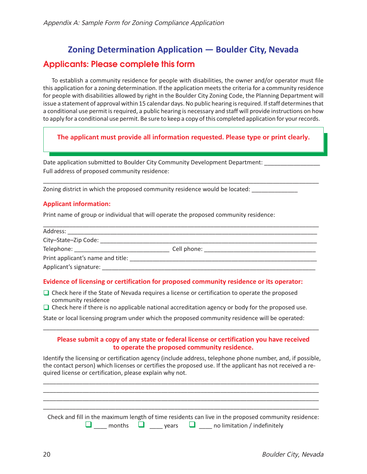## **Zoning Determination Application — Boulder City, Nevada Applicants: Please complete this form**

To establish a community residence for people with disabilities, the owner and/or operator must file this application for a zoning determination. If the application meets the criteria for a community residence for people with disabilities allowed by right in the Boulder City Zoning Code, the Planning Department will issue a statement of approval within 15 calendar days. No public hearing is required. If staff determines that a conditional use permit is required, a public hearing is necessary and staff will provide instructions on how to apply for a conditional use permit. Be sure to keep a copy of this completed application for your records.

**The applicant must provide all information requested. Please type or print clearly.**

\_\_\_\_\_\_\_\_\_\_\_\_\_\_\_\_\_\_\_\_\_\_\_\_\_\_\_\_\_\_\_\_\_\_\_\_\_\_\_\_\_\_\_\_\_\_\_\_\_\_\_\_\_\_\_\_\_\_\_\_\_\_\_\_\_\_\_\_\_\_\_\_\_\_\_\_\_\_\_\_\_\_\_\_

Date application submitted to Boulder City Community Development Department: Full address of proposed community residence:

Zoning district in which the proposed community residence would be located:

#### **Applicant information:**

Print name of group or individual that will operate the proposed community residence:

| Address: Andreas Address and American Address and American American American American American American America |                               |  |
|-----------------------------------------------------------------------------------------------------------------|-------------------------------|--|
| City-State-Zip Code:                                                                                            |                               |  |
| Telephone: __________________                                                                                   | Cell phone: _________________ |  |
| Print applicant's name and title:                                                                               |                               |  |
| Applicant's signature:                                                                                          |                               |  |

#### **Evidence of licensing or certification for proposed community residence or its operator:**

□ Check here if the State of Nevada requires a license or certification to operate the proposed community residence

 $\Box$  Check here if there is no applicable national accreditation agency or body for the proposed use.

State or local licensing program under which the proposed community residence will be operated:

#### **Please submit a copy of any state or federal license or certification you have received to operate the proposed community residence.**

\_\_\_\_\_\_\_\_\_\_\_\_\_\_\_\_\_\_\_\_\_\_\_\_\_\_\_\_\_\_\_\_\_\_\_\_\_\_\_\_\_\_\_\_\_\_\_\_\_\_\_\_\_\_\_\_\_\_\_\_\_\_\_\_\_\_\_\_\_\_\_\_\_\_\_\_\_\_\_\_\_\_\_\_

Identify the licensing or certification agency (include address, telephone phone number, and, if possible, the contact person) which licenses or certifies the proposed use. If the applicant has not received a required license or certification, please explain why not.

\_\_\_\_\_\_\_\_\_\_\_\_\_\_\_\_\_\_\_\_\_\_\_\_\_\_\_\_\_\_\_\_\_\_\_\_\_\_\_\_\_\_\_\_\_\_\_\_\_\_\_\_\_\_\_\_\_\_\_\_\_\_\_\_\_\_\_\_\_\_\_\_\_\_\_\_\_\_\_\_\_\_\_\_ \_\_\_\_\_\_\_\_\_\_\_\_\_\_\_\_\_\_\_\_\_\_\_\_\_\_\_\_\_\_\_\_\_\_\_\_\_\_\_\_\_\_\_\_\_\_\_\_\_\_\_\_\_\_\_\_\_\_\_\_\_\_\_\_\_\_\_\_\_\_\_\_\_\_\_\_\_\_\_\_\_\_\_\_ \_\_\_\_\_\_\_\_\_\_\_\_\_\_\_\_\_\_\_\_\_\_\_\_\_\_\_\_\_\_\_\_\_\_\_\_\_\_\_\_\_\_\_\_\_\_\_\_\_\_\_\_\_\_\_\_\_\_\_\_\_\_\_\_\_\_\_\_\_\_\_\_\_\_\_\_\_\_\_\_\_\_\_\_ \_\_\_\_\_\_\_\_\_\_\_\_\_\_\_\_\_\_\_\_\_\_\_\_\_\_\_\_\_\_\_\_\_\_\_\_\_\_\_\_\_\_\_\_\_\_\_\_\_\_\_\_\_\_\_\_\_\_\_\_\_\_\_\_\_\_\_\_\_\_\_\_\_\_\_\_\_\_\_\_\_\_\_\_

|  |  | Check and fill in the maximum length of time residents can live in the proposed community residence: |
|--|--|------------------------------------------------------------------------------------------------------|
|  |  | $\Box$ months $\Box$ years $\Box$ no limitation / indefinitely                                       |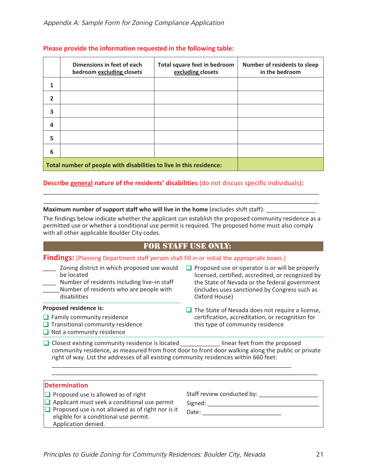|   | Dimensions in feet of each<br>bedroom excluding closets             | Total square feet in bedroom<br>excluding closets | <b>Number of residents to sleep</b><br>in the bedroom |  |  |
|---|---------------------------------------------------------------------|---------------------------------------------------|-------------------------------------------------------|--|--|
| 1 |                                                                     |                                                   |                                                       |  |  |
| 2 |                                                                     |                                                   |                                                       |  |  |
| 3 |                                                                     |                                                   |                                                       |  |  |
| 4 |                                                                     |                                                   |                                                       |  |  |
| 5 |                                                                     |                                                   |                                                       |  |  |
| 6 |                                                                     |                                                   |                                                       |  |  |
|   | Total number of people with disabilities to live in this residence: |                                                   |                                                       |  |  |

#### **Please provide the information requested in the following table:**

#### **Describe general nature of the residents' disabilities** (do not discuss specific individuals)**:**

#### **Maximum number of support staff who will live in the home** (excludes shift staff):

The findings below indicate whether the applicant can establish the proposed community residence as a permitted use or whether a conditional use permit is required. The proposed home must also comply with all other applicable Boulder City codes.

\_\_\_\_\_\_\_\_\_\_\_\_\_\_\_\_\_\_\_\_\_\_\_\_\_\_\_\_\_\_\_\_\_\_\_\_\_\_\_\_\_\_\_\_\_\_\_\_\_\_\_\_\_\_\_\_\_\_\_\_\_\_\_\_\_\_\_\_\_\_\_\_\_\_\_\_\_\_\_\_\_\_\_\_ \_\_\_\_\_\_\_\_\_\_\_\_\_\_\_\_\_\_\_\_\_\_\_\_\_\_\_\_\_\_\_\_\_\_\_\_\_\_\_\_\_\_\_\_\_\_\_\_\_\_\_\_\_\_\_\_\_\_\_\_\_\_\_\_\_\_\_\_\_\_\_\_\_\_\_\_\_\_\_\_\_\_\_\_

#### For Staff Use Only:

#### **Findings:** [Planning Department staff person shall fill in or initial the appropriate boxes.]

- \_\_\_\_ Zoning district in which proposed use would be located
- Number of residents including live–in staff Number of residents who are people with disabilities

#### **Proposed residence is:**

- $\Box$  Family community residence
- $\Box$  Transitional community residence
- $\Box$  Not a community residence
- $\Box$  Proposed use or operator is or will be properly licensed, certified, accredited, or recognized by the State of Nevada or the federal government (includes uses sanctioned by Congress such as Oxford House)
- $\Box$  The State of Nevada does not require a license, certification, accreditation, or recognition for this type of community residence

Closest existing community residence is located linear feet from the proposed community residence, as measured from front door to front door walking along the public or private right of way. List the addresses of all existing community residences within 660 feet:

\_\_\_\_\_\_\_\_\_\_\_\_\_\_\_\_\_\_\_\_\_\_\_\_\_\_\_\_\_\_\_\_\_\_\_\_\_\_\_\_\_\_\_\_\_\_\_\_\_\_\_\_\_\_\_\_\_\_\_\_\_\_\_\_\_\_\_\_\_\_\_\_\_\_\_\_\_\_\_\_\_

\_\_\_\_\_\_\_\_\_\_\_\_\_\_\_\_\_\_\_\_\_\_\_\_\_\_\_\_\_\_\_\_\_\_\_\_\_\_\_\_\_\_\_\_\_\_\_\_\_\_\_\_\_\_\_\_\_\_\_\_\_\_\_\_\_\_\_\_\_\_\_\_\_

| <b>Determination</b> |  |
|----------------------|--|
|                      |  |

- $\Box$  Proposed use is allowed as of right
- **Applicant must seek a conditional use permit**
- $\Box$  Proposed use is not allowed as of right nor is it eligible for a conditional use permit. Application denied.

Staff review conducted by: \_\_\_\_\_\_\_\_\_\_\_\_\_\_\_\_\_\_

Signed: \_\_\_\_\_\_\_\_\_\_\_\_\_\_\_\_\_\_\_\_\_\_\_\_\_\_\_\_\_\_\_\_\_\_

Date: \_\_\_\_\_\_\_\_\_\_\_\_\_\_\_\_\_\_\_\_\_\_\_\_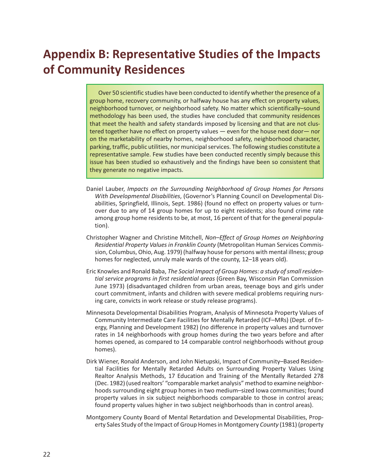# **Appendix B: Representative Studies of the Impacts of Community Residences**

Over 50 scientific studies have been conducted to identify whether the presence of a group home, recovery community, or halfway house has any effect on property values, neighborhood turnover, or neighborhood safety. No matter which scientifically–sound methodology has been used, the studies have concluded that community residences that meet the health and safety standards imposed by licensing and that are not clustered together have no effect on property values — even for the house next door— nor on the marketability of nearby homes, neighborhood safety, neighborhood character, parking, traffic, public utilities, nor municipal services. The following studies constitute a representative sample. Few studies have been conducted recently simply because this issue has been studied so exhaustively and the findings have been so consistent that they generate no negative impacts.

- Daniel Lauber, *Impacts on the Surrounding Neighborhood of Group Homes for Persons With Developmental Disabilities*, (Governor's Planning Council on Developmental Disabilities, Springfield, Illinois, Sept. 1986) (found no effect on property values or turnover due to any of 14 group homes for up to eight residents; also found crime rate among group home residents to be, at most, 16 percent of that for the general population).
- Christopher Wagner and Christine Mitchell, *Non–Effect of Group Homes on Neighboring Residential Property Values in Franklin County* (Metropolitan Human Services Commission, Columbus, Ohio, Aug. 1979) (halfway house for persons with mental illness; group homes for neglected, unruly male wards of the county, 12–18 years old).
- Eric Knowles and Ronald Baba, *The Social Impact of Group Homes: a study of small residential service programs in first residential areas* (Green Bay, Wisconsin Plan Commission June 1973) (disadvantaged children from urban areas, teenage boys and girls under court commitment, infants and children with severe medical problems requiring nursing care, convicts in work release or study release programs).
- Minnesota Developmental Disabilities Program, Analysis of Minnesota Property Values of Community Intermediate Care Facilities for Mentally Retarded (ICF–MRs) (Dept. of Energy, Planning and Development 1982) (no difference in property values and turnover rates in 14 neighborhoods with group homes during the two years before and after homes opened, as compared to 14 comparable control neighborhoods without group homes).
- Dirk Wiener, Ronald Anderson, and John Nietupski, Impact of Community–Based Residential Facilities for Mentally Retarded Adults on Surrounding Property Values Using Realtor Analysis Methods, 17 Education and Training of the Mentally Retarded 278 (Dec. 1982) (used realtors' "comparable market analysis" method to examine neighborhoods surrounding eight group homes in two medium–sized Iowa communities; found property values in six subject neighborhoods comparable to those in control areas; found property values higher in two subject neighborhoods than in control areas).
- Montgomery County Board of Mental Retardation and Developmental Disabilities, Property Sales Study of the Impact of Group Homes in Montgomery *County* (1981) (property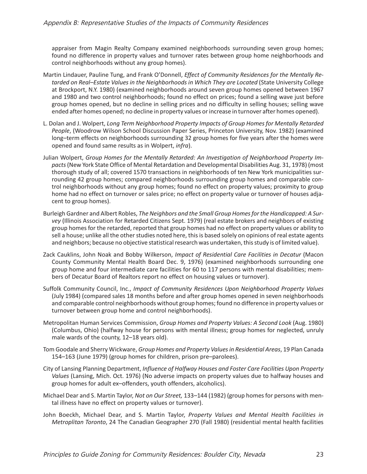appraiser from Magin Realty Company examined neighborhoods surrounding seven group homes; found no difference in property values and turnover rates between group home neighborhoods and control neighborhoods without any group homes).

- Martin Lindauer, Pauline Tung, and Frank O'Donnell, *Effect of Community Residences for the Mentally Retarded on Real–Estate Values in the Neighborhoods in Which They are Located* (State University College at Brockport, N.Y. 1980) (examined neighborhoods around seven group homes opened between 1967 and 1980 and two control neighborhoods; found no effect on prices; found a selling wave just before group homes opened, but no decline in selling prices and no difficulty in selling houses; selling wave ended after homes opened; no decline in property values or increase in turnover after homes opened).
- L. Dolan and J. Wolpert, *Long Term Neighborhood Property Impacts of Group Homes for Mentally Retarded People*, (Woodrow Wilson School Discussion Paper Series, Princeton University, Nov. 1982) (examined long–term effects on neighborhoods surrounding 32 group homes for five years after the homes were opened and found same results as in Wolpert, *infra*).
- Julian Wolpert, *Group Homes for the Mentally Retarded: An Investigation of Neighborhood Property Impacts*(New York State Office of Mental Retardation and Developmental Disabilities Aug. 31, 1978) (most thorough study of all; covered 1570 transactions in neighborhoods of ten New York municipalities surrounding 42 group homes; compared neighborhoods surrounding group homes and comparable control neighborhoods without any group homes; found no effect on property values; proximity to group home had no effect on turnover or sales price; no effect on property value or turnover of houses adjacent to group homes).
- Burleigh Gardner and Albert Robles, *The Neighbors and the Small Group Homes for the Handicapped: A Survey* (Illinois Association for Retarded Citizens Sept. 1979) (real estate brokers and neighbors of existing group homes for the retarded, reported that group homes had no effect on property values or ability to sell a house; unlike all the other studies noted here, this is based solely on opinions of real estate agents and neighbors; because no objective statistical research was undertaken, this study is of limited value).
- Zack Cauklins, John Noak and Bobby Wilkerson, *Impact of Residential Care Facilities in Decatur* (Macon County Community Mental Health Board Dec. 9, 1976) (examined neighborhoods surrounding one group home and four intermediate care facilities for 60 to 117 persons with mental disabilities; members of Decatur Board of Realtors report no effect on housing values or turnover).
- Suffolk Community Council, Inc., *Impact of Community Residences Upon Neighborhood Property Values* (July 1984) (compared sales 18 months before and after group homes opened in seven neighborhoods and comparable control neighborhoods without group homes; found no difference in property values or turnover between group home and control neighborhoods).
- Metropolitan Human Services Commission, *Group Homes and Property Values: A Second Look* (Aug. 1980) (Columbus, Ohio) (halfway house for persons with mental illness; group homes for neglected, unruly male wards of the county, 12–18 years old).
- Tom Goodale and Sherry Wickware, *Group Homes and Property Values in Residential Areas*, 19 Plan Canada 154–163 (June 1979) (group homes for children, prison pre–parolees).
- City of Lansing Planning Department, *Influence of Halfway Houses and Foster Care Facilities Upon Property Values* (Lansing, Mich. Oct. 1976) (No adverse impacts on property values due to halfway houses and group homes for adult ex–offenders, youth offenders, alcoholics).
- Michael Dear and S. Martin Taylor, *Not on Our Street,* 133–144 (1982) (group homes for persons with mental illness have no effect on property values or turnover).
- John Boeckh, Michael Dear, and S. Martin Taylor, *Property Values and Mental Health Facilities in Metroplitan Toronto*, 24 The Canadian Geographer 270 (Fall 1980) (residential mental health facilities